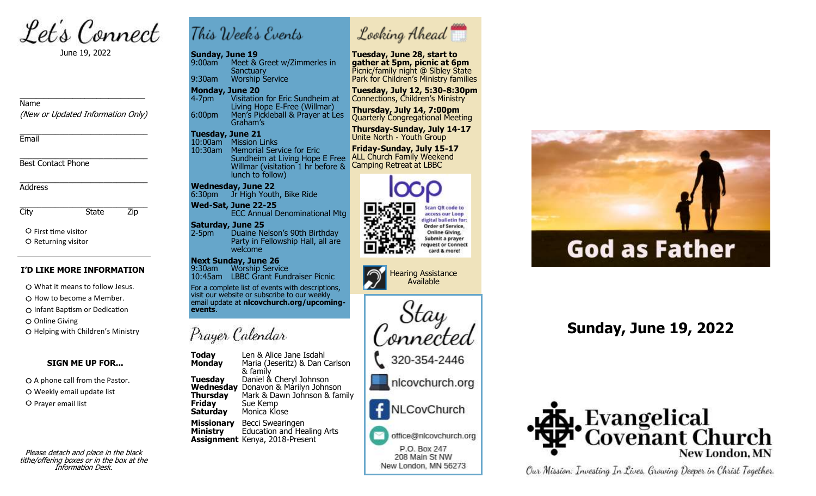Let's Connect

June 19, 2022

### Name

(New or Updated Information Only)

\_\_\_\_\_\_\_\_\_\_\_\_\_\_\_\_\_\_\_\_\_\_\_\_\_\_\_\_\_\_\_

\_\_\_\_\_\_\_\_\_\_\_\_\_\_\_\_\_\_\_\_\_\_\_\_\_\_\_\_\_ **Fmail** 

\_\_\_\_\_\_\_\_\_\_\_\_\_\_\_\_\_\_\_\_\_\_\_\_\_\_\_\_\_ Best Contact Phone

\_\_\_\_\_\_\_\_\_\_\_\_\_\_\_\_\_\_\_\_\_\_\_\_\_\_\_\_\_ Address

\_\_\_\_\_\_\_\_\_\_\_\_\_\_\_\_\_\_\_\_\_\_\_\_\_\_\_\_\_ City State Zip

First time visitor O Returning visitor

### **I'D LIKE MORE INFORMATION**

What it means to follow Jesus.

 $\bigcirc$  How to become a Member.

Infant Baptism or Dedication

O Online Giving

O Helping with Children's Ministry

### **SIGN ME UP FOR...**

 $O$  A phone call from the Pastor. O Weekly email update list O Prayer email list

Please detach and place in the black tithe/offering boxes or in the box at the Information Desk.

This Week's Events

### **Sunday, June 19**

9:00am Meet & Greet w/Zimmerles in **Sanctuary** 9:30am Worship Service

### **Monday, June 20**

4-7pm Visitation for Eric Sundheim at Living Hope E-Free (Willmar) 6:00pm Men's Pickleball & Prayer at Les Graham's

### **Tuesday, June 21**

10:00am Mission Links 10:30am Memorial Service for Eric Sundheim at Living Hope E Free Willmar (visitation 1 hr before & lunch to follow)

## **Wednesday, June 22**

6:30pm Jr High Youth, Bike Ride

**Wed-Sat, June 22-25** ECC Annual Denominational Mtg

**Saturday, June 25**<br>2-5pm Duaine No Duaine Nelson's 90th Birthday Party in Fellowship Hall, all are welcome

#### **Next Sunday, June 26** 9:30am Worship Service<br>10:45am LBBC Grant Fung **LBBC Grant Fundraiser Picnic**

 For a complete list of events with descriptions, visit our website or subscribe to our weekly email update at **nlcovchurch.org/upcomingevents**.

# Prayer Calendar

**Today** Len & Alice Jane Isdahl<br>**Monday** Maria (Jeseritz) & Dan C **Monday** Maria (Jeseritz) & Dan Carlson & family **Tuesday** Daniel & Cheryl Johnson **Wednesday** Donavon & Marilyn Johnson **Thursday** Mark & Dawn Johnson & family<br>**Friday** Gue Kemp **Sue Kemp Saturday** Monica Klose **Saturdav Missionary** Becci Swearingen<br>**Ministry** Education and He **Ministry** Education and Healing Arts **Assignment** Kenya, 2018-Present

Looking Ahead

**Tuesday, June 28, start to gather at 5pm, picnic at 6pm** Picnic/family night @ Sibley State Park for Children's Ministry families

**Tuesday, July 12, 5:30-8:30pm** Connections, Children's Ministry

**Thursday, July 14, 7:00pm** Quarterly Congregational Meeting

**Thursday-Sunday, July 14-17** Unite North - Youth Group

**Friday-Sunday, July 15-17 ALL Church Family Weekend** Camping Retreat at LBBC





onnected

320-354-2446

nlcovchurch.org

NLCovChurch

office@nlcovchurch.org P.O. Box 247 208 Main St NW New London, MN 56273



# **God as Father**

# **Sunday, June 19, 2022**



Our Mission: Investing In Lives, Growing Deeper in Christ Together.